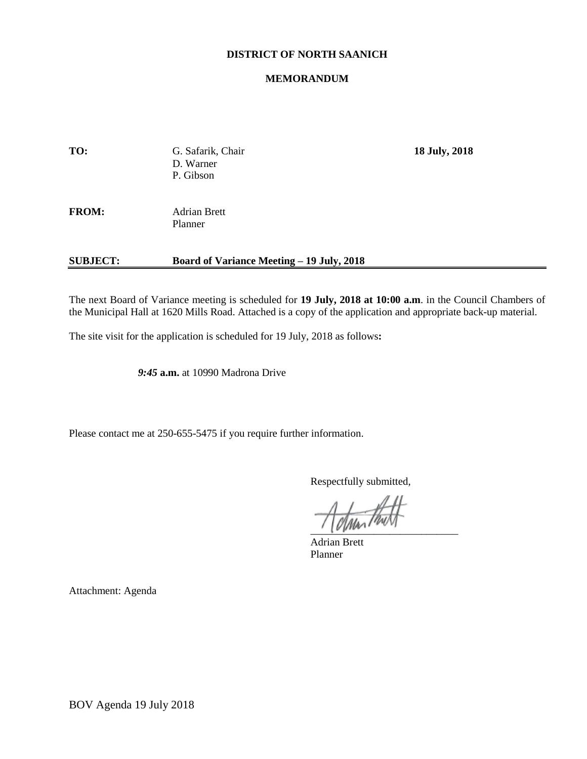# **DISTRICT OF NORTH SAANICH**

### **MEMORANDUM**

| TO:             | G. Safarik, Chair<br>D. Warner<br>P. Gibson      | 18 July, 2018 |
|-----------------|--------------------------------------------------|---------------|
| <b>FROM:</b>    | <b>Adrian Brett</b><br>Planner                   |               |
| <b>SUBJECT:</b> | <b>Board of Variance Meeting – 19 July, 2018</b> |               |

The next Board of Variance meeting is scheduled for **19 July, 2018 at 10:00 a.m**. in the Council Chambers of the Municipal Hall at 1620 Mills Road. Attached is a copy of the application and appropriate back-up material.

The site visit for the application is scheduled for 19 July, 2018 as follows**:**

*9:45* **a.m.** at 10990 Madrona Drive

Please contact me at 250-655-5475 if you require further information.

Respectfully submitted,

 $\frac{1}{2}$ 

Adrian Brett Planner

Attachment: Agenda